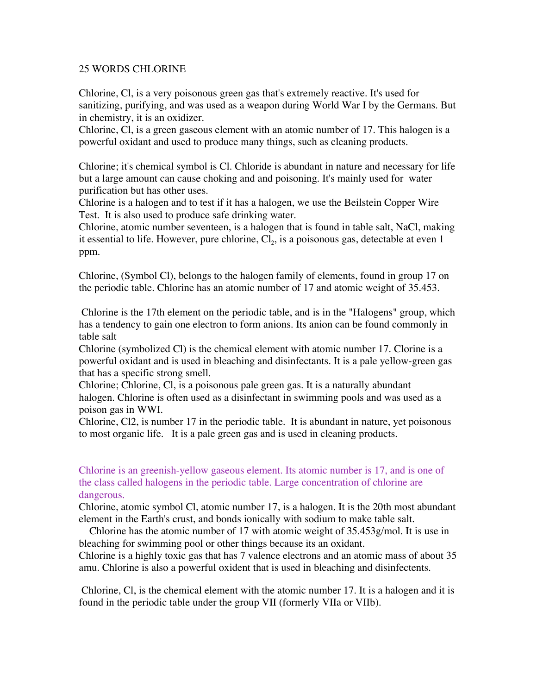## 25 WORDS CHLORINE

Chlorine, Cl, is a very poisonous green gas that's extremely reactive. It's used for sanitizing, purifying, and was used as a weapon during World War I by the Germans. But in chemistry, it is an oxidizer.

Chlorine, Cl, is a green gaseous element with an atomic number of 17. This halogen is a powerful oxidant and used to produce many things, such as cleaning products.

Chlorine; it's chemical symbol is Cl. Chloride is abundant in nature and necessary for life but a large amount can cause choking and and poisoning. It's mainly used for water purification but has other uses.

Chlorine is a halogen and to test if it has a halogen, we use the Beilstein Copper Wire Test. It is also used to produce safe drinking water.

Chlorine, atomic number seventeen, is a halogen that is found in table salt, NaCl, making it essential to life. However, pure chlorine,  $Cl<sub>2</sub>$ , is a poisonous gas, detectable at even 1 ppm.

Chlorine, (Symbol Cl), belongs to the halogen family of elements, found in group 17 on the periodic table. Chlorine has an atomic number of 17 and atomic weight of 35.453.

 Chlorine is the 17th element on the periodic table, and is in the "Halogens" group, which has a tendency to gain one electron to form anions. Its anion can be found commonly in table salt

Chlorine (symbolized Cl) is the chemical element with atomic number 17. Clorine is a powerful oxidant and is used in bleaching and disinfectants. It is a pale yellow-green gas that has a specific strong smell.

Chlorine; Chlorine, Cl, is a poisonous pale green gas. It is a naturally abundant halogen. Chlorine is often used as a disinfectant in swimming pools and was used as a poison gas in WWI.

Chlorine, Cl2, is number 17 in the periodic table. It is abundant in nature, yet poisonous to most organic life. It is a pale green gas and is used in cleaning products.

## Chlorine is an greenish-yellow gaseous element. Its atomic number is 17, and is one of the class called halogens in the periodic table. Large concentration of chlorine are dangerous.

Chlorine, atomic symbol Cl, atomic number 17, is a halogen. It is the 20th most abundant element in the Earth's crust, and bonds ionically with sodium to make table salt.

 Chlorine has the atomic number of 17 with atomic weight of 35.453g/mol. It is use in bleaching for swimming pool or other things because its an oxidant.

Chlorine is a highly toxic gas that has 7 valence electrons and an atomic mass of about 35 amu. Chlorine is also a powerful oxident that is used in bleaching and disinfectents.

 Chlorine, Cl, is the chemical element with the atomic number 17. It is a halogen and it is found in the periodic table under the group VII (formerly VIIa or VIIb).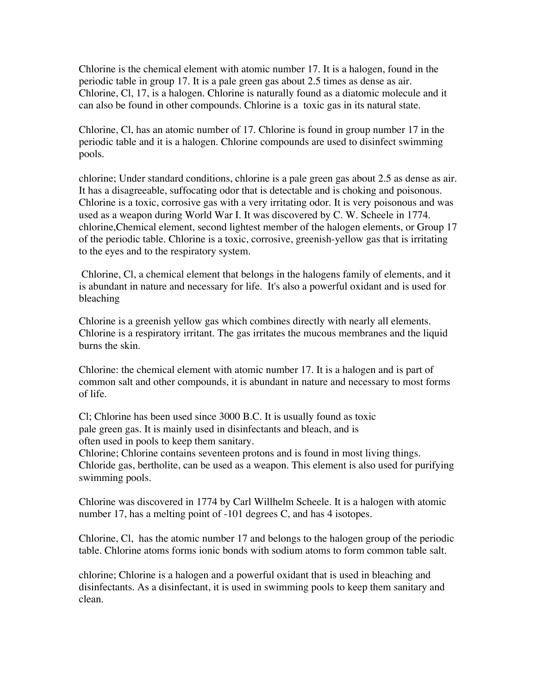Chlorine is the chemical element with atomic number 17. It is a halogen, found in the periodic table in group 17. It is a pale green gas about 2.5 times as dense as air. Chlorine, Cl, 17, is a halogen. Chlorine is naturally found as a diatomic molecule and it can also be found in other compounds. Chlorine is a toxic gas in its natural state.

Chlorine, Cl, has an atomic number of 17. Chlorine is found in group number 17 in the periodic table and it is a halogen. Chlorine compounds are used to disinfect swimming pools.

chlorine; Under standard conditions, chlorine is a pale green gas about 2.5 as dense as air. It has a disagreeable, suffocating odor that is detectable and is choking and poisonous. Chlorine is a toxic, corrosive gas with a very irritating odor. It is very poisonous and was used as a weapon during World War I. It was discovered by C. W. Scheele in 1774. chlorine,Chemical element, second lightest member of the halogen elements, or Group 17 of the periodic table. Chlorine is a toxic, corrosive, greenish-yellow gas that is irritating to the eyes and to the respiratory system.

 Chlorine, Cl, a chemical element that belongs in the halogens family of elements, and it is abundant in nature and necessary for life. It's also a powerful oxidant and is used for bleaching

Chlorine is a greenish yellow gas which combines directly with nearly all elements. Chlorine is a respiratory irritant. The gas irritates the mucous membranes and the liquid burns the skin.

Chlorine: the chemical element with atomic number 17. It is a halogen and is part of common salt and other compounds, it is abundant in nature and necessary to most forms of life.

Cl; Chlorine has been used since 3000 B.C. It is usually found as toxic pale green gas. It is mainly used in disinfectants and bleach, and is often used in pools to keep them sanitary.

Chlorine; Chlorine contains seventeen protons and is found in most living things. Chloride gas, bertholite, can be used as a weapon. This element is also used for purifying swimming pools.

Chlorine was discovered in 1774 by Carl Willhelm Scheele. It is a halogen with atomic number 17, has a melting point of -101 degrees C, and has 4 isotopes.

Chlorine, Cl, has the atomic number 17 and belongs to the halogen group of the periodic table. Chlorine atoms forms ionic bonds with sodium atoms to form common table salt.

chlorine; Chlorine is a halogen and a powerful oxidant that is used in bleaching and disinfectants. As a disinfectant, it is used in swimming pools to keep them sanitary and clean.